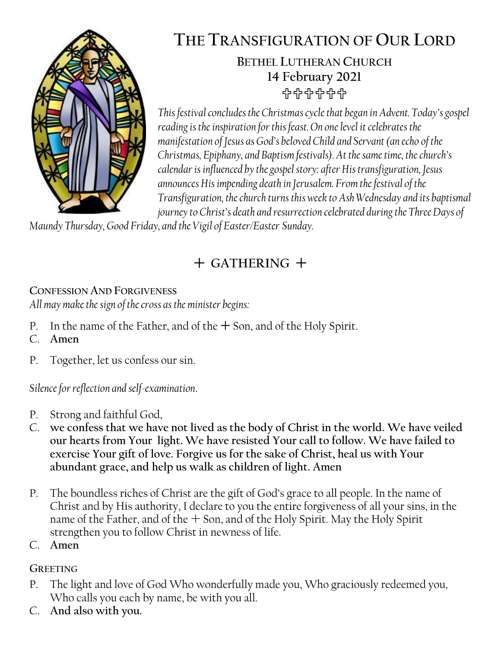

# **THE TRANSFIGURATION OF OUR LORD**

## **BETHEL LUTHERAN CHURCH 14 February 2021** 유유유유유

*This festival concludes the Christmas cycle that began in Advent. Today's gospel reading is the inspiration for this feast. On one level it celebrates the manifestation of Jesus as God's beloved Child and Servant (an echo of the Christmas, Epiphany, and Baptism festivals). At the same time, the church's calendar is influenced by the gospel story: after His transfiguration, Jesus announces His impending death in Jerusalem. From the festival of the Transfiguration, the church turns this week to Ash Wednesday and its baptismal journey to Christ's death and resurrection celebrated during the Three Days of* 

*Maundy Thursday, Good Friday, and the Vigil of Easter/Easter Sunday.*

# **GATHERING**

### **CONFESSION AND FORGIVENESS**

*All may make the sign of the cross as the minister begins:*

- P. In the name of the Father, and of the  $+$  Son, and of the Holy Spirit.
- C. **Amen**
- P. Together, let us confess our sin.

*Silence for reflection and self-examination*.

- P. Strong and faithful God,
- C. **we confess that we have not lived as the body of Christ in the world. We have veiled our hearts from Your light. We have resisted Your call to follow. We have failed to exercise Your gift of love. Forgive us for the sake of Christ, heal us with Your abundant grace, and help us walk as children of light. Amen**
- P. The boundless riches of Christ are the gift of God's grace to all people. In the name of Christ and by His authority, I declare to you the entire forgiveness of all your sins, in the name of the Father, and of the  $+$  Son, and of the Holy Spirit. May the Holy Spirit strengthen you to follow Christ in newness of life.
- C. **Amen**

### **GREETING**

- P. The light and love of God Who wonderfully made you, Who graciously redeemed you, Who calls you each by name, be with you all.
- C. **And also with you.**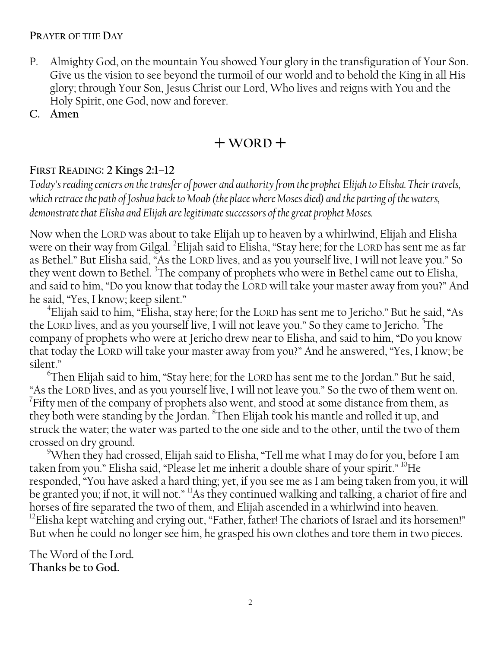#### **PRAYER OF THE DAY**

- P. Almighty God, on the mountain You showed Your glory in the transfiguration of Your Son. Give us the vision to see beyond the turmoil of our world and to behold the King in all His glory; through Your Son, Jesus Christ our Lord, Who lives and reigns with You and the Holy Spirit, one God, now and forever.
- **C. Amen**

## $+$ WORD<sup> $+$ </sup>

#### **FIRST READING: 2 Kings 2:1–12**

*Today's reading centers on the transfer of power and authority from the prophet Elijah to Elisha. Their travels, which retrace the path of Joshua back to Moab (the place where Moses died) and the parting of the waters, demonstrate that Elisha and Elijah are legitimate successors of the great prophet Moses.*

Now when the LORD was about to take Elijah up to heaven by a whirlwind, Elijah and Elisha were on their way from Gilgal. <sup>2</sup>Elijah said to Elisha, "Stay here; for the LORD has sent me as far as Bethel." But Elisha said, "As the LORD lives, and as you yourself live, I will not leave you." So they went down to Bethel. <sup>3</sup>The company of prophets who were in Bethel came out to Elisha, and said to him, "Do you know that today the LORD will take your master away from you?" And he said, "Yes, I know; keep silent."

4 Elijah said to him, "Elisha, stay here; for the LORD has sent me to Jericho." But he said, "As the LORD lives, and as you yourself live, I will not leave you." So they came to Jericho. <sup>5</sup>The company of prophets who were at Jericho drew near to Elisha, and said to him, "Do you know that today the LORD will take your master away from you?" And he answered, "Yes, I know; be silent."

 $\mathrm{^6}$ Then Elijah said to him, "Stay here; for the LORD has sent me to the Jordan." But he said, "As the LORD lives, and as you yourself live, I will not leave you." So the two of them went on.  $7$ Fifty men of the company of prophets also went, and stood at some distance from them, as they both were standing by the Jordan. <sup>8</sup>Then Elijah took his mantle and rolled it up, and struck the water; the water was parted to the one side and to the other, until the two of them crossed on dry ground.

<sup>9</sup>When they had crossed, Elijah said to Elisha, "Tell me what I may do for you, before I am taken from you." Elisha said, "Please let me inherit a double share of your spirit." <sup>10</sup>He responded, "You have asked a hard thing; yet, if you see me as I am being taken from you, it will be granted you; if not, it will not." <sup>11</sup>As they continued walking and talking, a chariot of fire and horses of fire separated the two of them, and Elijah ascended in a whirlwind into heaven. <sup>12</sup>Elisha kept watching and crying out, "Father, father! The chariots of Israel and its horsemen!" But when he could no longer see him, he grasped his own clothes and tore them in two pieces.

The Word of the Lord. **Thanks be to God.**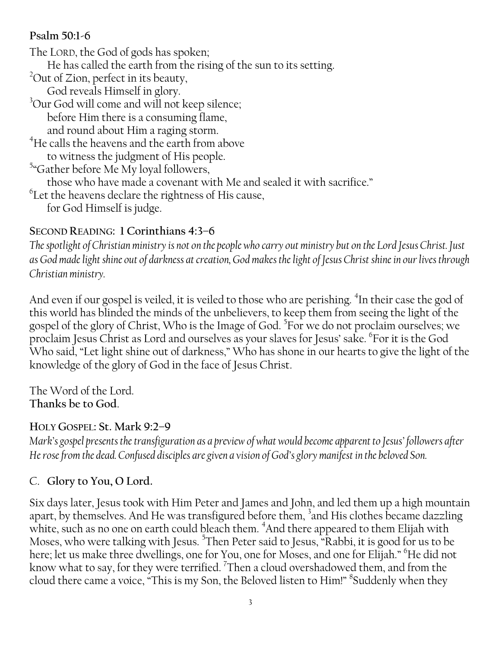### **Psalm 50:1-6**

The LORD, the God of gods has spoken; He has called the earth from the rising of the sun to its setting. <sup>2</sup>Out of Zion, perfect in its beauty, God reveals Himself in glory. <sup>3</sup>Our God will come and will not keep silence; before Him there is a consuming flame, and round about Him a raging storm.  $^4$ He calls the heavens and the earth from above to witness the judgment of His people. <sup>5</sup>"Gather before Me My loyal followers, those who have made a covenant with Me and sealed it with sacrifice."  $^6$ Let the heavens declare the rightness of His cause, for God Himself is judge.

### **SECOND READING: 1 Corinthians 4:3–6**

*The spotlight of Christian ministry is not on the people who carry out ministry but on the Lord Jesus Christ. Just as God made light shine out of darkness at creation, God makes the light of Jesus Christ shine in our lives through Christian ministry.*

And even if our gospel is veiled, it is veiled to those who are perishing. <sup>4</sup>In their case the god of this world has blinded the minds of the unbelievers, to keep them from seeing the light of the gospel of the glory of Christ, Who is the Image of God. <sup>5</sup>For we do not proclaim ourselves; we proclaim Jesus Christ as Lord and ourselves as your slaves for Jesus' sake. <sup>6</sup> For it is the God Who said, "Let light shine out of darkness," Who has shone in our hearts to give the light of the knowledge of the glory of God in the face of Jesus Christ.

The Word of the Lord. **Thanks be to God**.

### **HOLY GOSPEL: St. Mark 9:2–9**

*Mark's gospel presents the transfiguration as a preview of what would become apparent to Jesus' followers after He rose from the dead. Confused disciples are given a vision of God's glory manifest in the beloved Son.*

### C. **Glory to You, O Lord.**

Six days later, Jesus took with Him Peter and James and John, and led them up a high mountain apart, by themselves. And He was transfigured before them, <sup>3</sup>and His clothes became dazzling white, such as no one on earth could bleach them. <sup>4</sup>And there appeared to them Elijah with Moses, who were talking with Jesus. <sup>5</sup>Then Peter said to Jesus, "Rabbi, it is good for us to be here; let us make three dwellings, one for You, one for Moses, and one for Elijah." <sup>6</sup>He did not know what to say, for they were terrified.  $\mathrm{^{7}T}$ hen a cloud overshadowed them, and from the cloud there came a voice, "This is my Son, the Beloved listen to Him!" 8 Suddenly when they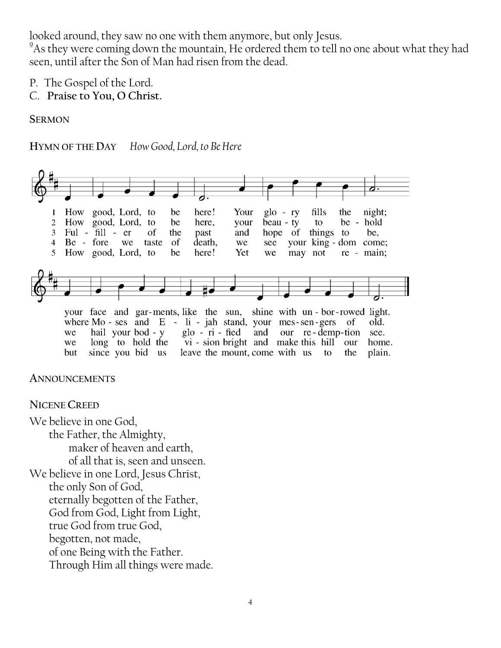looked around, they saw no one with them anymore, but only Jesus.

 $9^9$ As they were coming down the mountain, He ordered them to tell no one about what they had seen, until after the Son of Man had risen from the dead.

- P. The Gospel of the Lord.
- C. **Praise to You, O Christ.**

#### **SERMON**

#### **HYMN OF THE DAY** *How Good, Lord, to Be Here*



where  $Mo - ses$  and  $E - li - jah$  stand, your mes-sen-gers of old.  $g$ lo -  $r$ i - fied our re-demp-tion we hail your bod - y and see. long to hold the vi - sion bright and make this hill our we home. leave the mount, come with us but since you bid us to the plain.

#### **ANNOUNCEMENTS**

#### **NICENE CREED**

We believe in one God, the Father, the Almighty, maker of heaven and earth, of all that is, seen and unseen. We believe in one Lord, Jesus Christ, the only Son of God, eternally begotten of the Father, God from God, Light from Light, true God from true God, begotten, not made, of one Being with the Father. Through Him all things were made.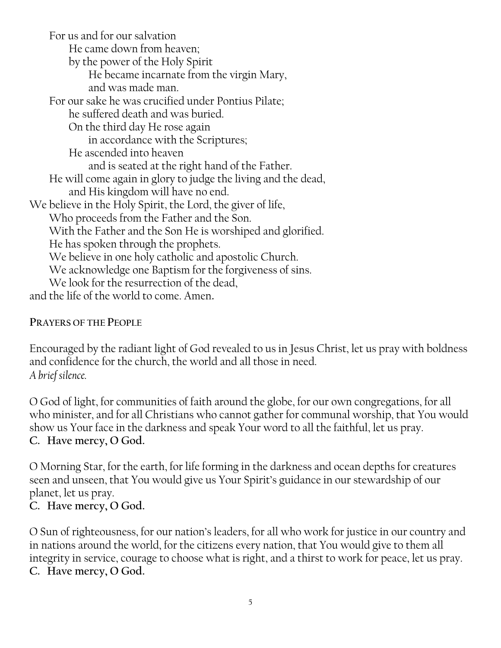For us and for our salvation He came down from heaven; by the power of the Holy Spirit He became incarnate from the virgin Mary, and was made man. For our sake he was crucified under Pontius Pilate; he suffered death and was buried. On the third day He rose again in accordance with the Scriptures; He ascended into heaven and is seated at the right hand of the Father. He will come again in glory to judge the living and the dead, and His kingdom will have no end. We believe in the Holy Spirit, the Lord, the giver of life, Who proceeds from the Father and the Son. With the Father and the Son He is worshiped and glorified. He has spoken through the prophets. We believe in one holy catholic and apostolic Church. We acknowledge one Baptism for the forgiveness of sins. We look for the resurrection of the dead, and the life of the world to come. Amen**.**

#### **PRAYERS OF THE PEOPLE**

Encouraged by the radiant light of God revealed to us in Jesus Christ, let us pray with boldness and confidence for the church, the world and all those in need. *A brief silence.*

O God of light, for communities of faith around the globe, for our own congregations, for all who minister, and for all Christians who cannot gather for communal worship, that You would show us Your face in the darkness and speak Your word to all the faithful, let us pray. **C. Have mercy, O God.**

O Morning Star, for the earth, for life forming in the darkness and ocean depths for creatures seen and unseen, that You would give us Your Spirit's guidance in our stewardship of our planet, let us pray.

### **C. Have mercy, O God.**

O Sun of righteousness, for our nation's leaders, for all who work for justice in our country and in nations around the world, for the citizens every nation, that You would give to them all integrity in service, courage to choose what is right, and a thirst to work for peace, let us pray. **C. Have mercy, O God.**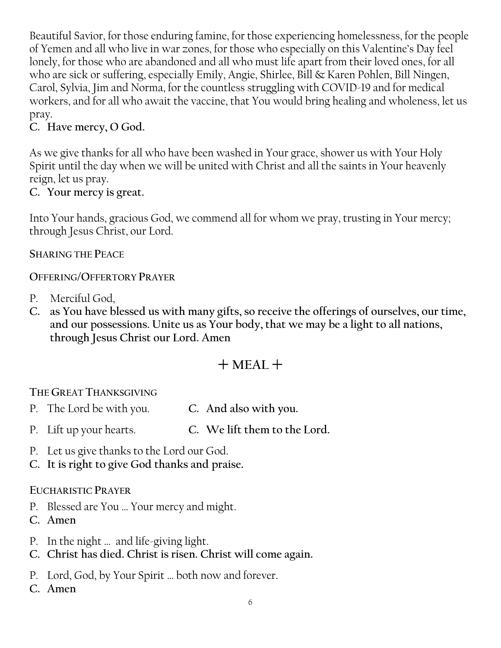Beautiful Savior, for those enduring famine, for those experiencing homelessness, for the people of Yemen and all who live in war zones, for those who especially on this Valentine's Day feel lonely, for those who are abandoned and all who must life apart from their loved ones, for all who are sick or suffering, especially Emily, Angie, Shirlee, Bill & Karen Pohlen, Bill Ningen, Carol, Sylvia, Jim and Norma, for the countless struggling with COVID-19 and for medical workers, and for all who await the vaccine, that You would bring healing and wholeness, let us pray.

### **C. Have mercy, O God.**

As we give thanks for all who have been washed in Your grace, shower us with Your Holy Spirit until the day when we will be united with Christ and all the saints in Your heavenly reign, let us pray.

### **C. Your mercy is great.**

Into Your hands, gracious God, we commend all for whom we pray, trusting in Your mercy; through Jesus Christ, our Lord.

#### **SHARING THE PEACE**

### **OFFERING/OFFERTORY PRAYER**

- P. Merciful God,
- **C. as You have blessed us with many gifts, so receive the offerings of ourselves, our time, and our possessions. Unite us as Your body, that we may be a light to all nations, through Jesus Christ our Lord. Amen**

# $+$  MEAL  $+$

### **THE GREAT THANKSGIVING**

- P. The Lord be with you. **C. And also with you.**
- P. Lift up your hearts. **C. We lift them to the Lord.**
- P. Let us give thanks to the Lord our God.
- **C. It is right to give God thanks and praise.**

#### **EUCHARISTIC PRAYER**

- P. Blessed are You … Your mercy and might.
- **C. Amen**
- P. In the night … and life-giving light.
- **C. Christ has died. Christ is risen. Christ will come again.**
- P. Lord, God, by Your Spirit … both now and forever.
- **C. Amen**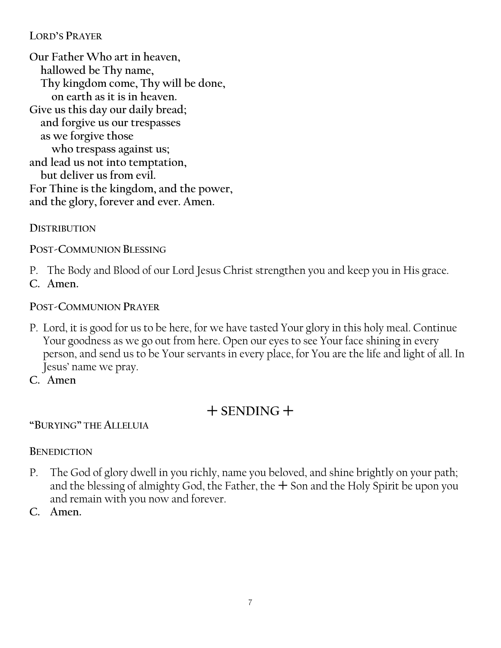### **LORD'S PRAYER**

**Our Father Who art in heaven, hallowed be Thy name, Thy kingdom come, Thy will be done, on earth as it is in heaven. Give us this day our daily bread; and forgive us our trespasses as we forgive those who trespass against us; and lead us not into temptation, but deliver us from evil. For Thine is the kingdom, and the power, and the glory, forever and ever. Amen.**

**DISTRIBUTION**

**POST-COMMUNION BLESSING**

P. The Body and Blood of our Lord Jesus Christ strengthen you and keep you in His grace.

**C. Amen.**

#### **POST-COMMUNION PRAYER**

- P. Lord, it is good for us to be here, for we have tasted Your glory in this holy meal. Continue Your goodness as we go out from here. Open our eyes to see Your face shining in every person, and send us to be Your servants in every place, for You are the life and light of all. In Jesus' name we pray.
- **C. Amen**

# $+$  SENDING  $+$

**"BURYING" THE ALLELUIA**

### **BENEDICTION**

- P. The God of glory dwell in you richly, name you beloved, and shine brightly on your path; and the blessing of almighty God, the Father, the  $+$  Son and the Holy Spirit be upon you and remain with you now and forever.
- **C. Amen.**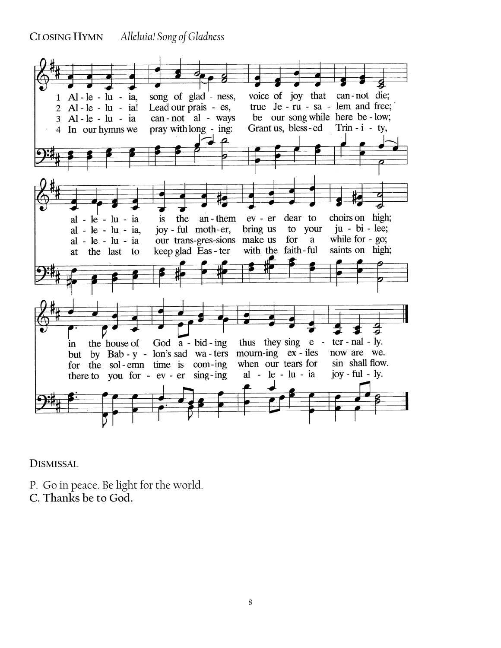**CLOSING HYMN** *Alleluia! Song of Gladness*



**DISMISSAL** 

- P. Go in peace. Be light for the world.
- **C. Thanks be to God.**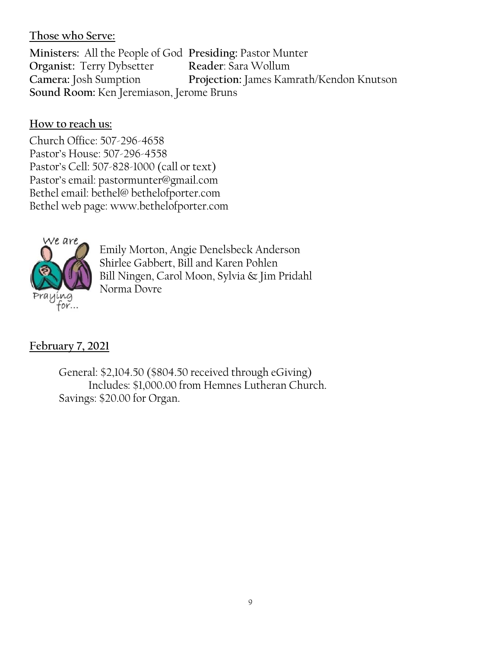### **Those who Serve:**

**Ministers:** All the People of God **Presiding:** Pastor Munter **Organist:** Terry Dybsetter **Reader**: Sara Wollum **Camera:** Josh Sumption **Projection:** James Kamrath/Kendon Knutson **Sound Room:** Ken Jeremiason, Jerome Bruns

### **How to reach us:**

Church Office: 507-296-4658 Pastor's House: 507-296-4558 Pastor's Cell: 507-828-1000 (call or text) Pastor's email: pastormunter@gmail.com Bethel email: bethel@ bethelofporter.com Bethel web page: www.bethelofporter.com



Emily Morton, Angie Denelsbeck Anderson Shirlee Gabbert, Bill and Karen Pohlen Bill Ningen, Carol Moon, Sylvia & Jim Pridahl Norma Dovre

### **February 7, 2021**

 General: \$2,104.50 (\$804.50 received through eGiving) Includes: \$1,000.00 from Hemnes Lutheran Church. Savings: \$20.00 for Organ.